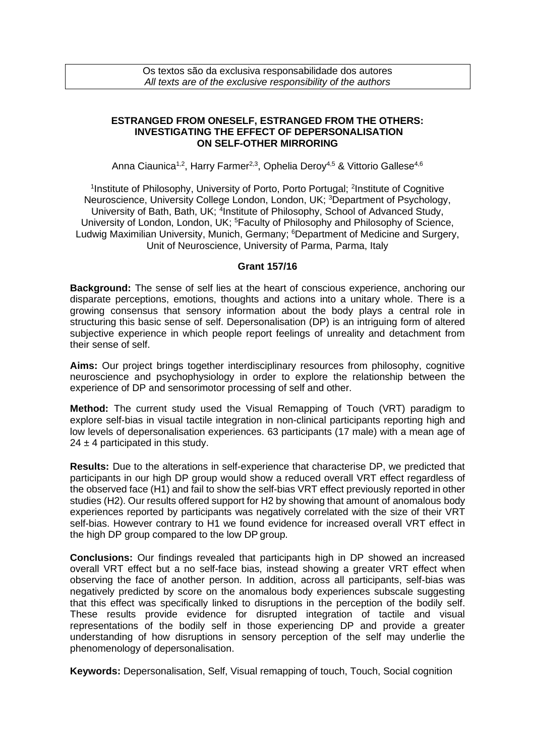## **ESTRANGED FROM ONESELF, ESTRANGED FROM THE OTHERS: INVESTIGATING THE EFFECT OF DEPERSONALISATION ON SELF-OTHER MIRRORING**

Anna Ciaunica<sup>1,2</sup>, Harry Farmer<sup>2,3</sup>, Ophelia Deroy<sup>4,5</sup> & Vittorio Gallese<sup>4,6</sup>

<sup>1</sup>Institute of Philosophy, University of Porto, Porto Portugal; <sup>2</sup>Institute of Cognitive Neuroscience, University College London, London, UK; <sup>3</sup>Department of Psychology, University of Bath, Bath, UK; <sup>4</sup>Institute of Philosophy, School of Advanced Study, University of London, London, UK; <sup>5</sup>Faculty of Philosophy and Philosophy of Science, Ludwig Maximilian University, Munich, Germany; <sup>6</sup>Department of Medicine and Surgery, Unit of Neuroscience, University of Parma, Parma, Italy

## **Grant 157/16**

**Background:** The sense of self lies at the heart of conscious experience, anchoring our disparate perceptions, emotions, thoughts and actions into a unitary whole. There is a growing consensus that sensory information about the body plays a central role in structuring this basic sense of self. Depersonalisation (DP) is an intriguing form of altered subjective experience in which people report feelings of unreality and detachment from their sense of self.

**Aims:** Our project brings together interdisciplinary resources from philosophy, cognitive neuroscience and psychophysiology in order to explore the relationship between the experience of DP and sensorimotor processing of self and other.

**Method:** The current study used the Visual Remapping of Touch (VRT) paradigm to explore self-bias in visual tactile integration in non-clinical participants reporting high and low levels of depersonalisation experiences. 63 participants (17 male) with a mean age of  $24 \pm 4$  participated in this study.

**Results:** Due to the alterations in self-experience that characterise DP, we predicted that participants in our high DP group would show a reduced overall VRT effect regardless of the observed face (H1) and fail to show the self-bias VRT effect previously reported in other studies (H2). Our results offered support for H2 by showing that amount of anomalous body experiences reported by participants was negatively correlated with the size of their VRT self-bias. However contrary to H1 we found evidence for increased overall VRT effect in the high DP group compared to the low DP group.

**Conclusions:** Our findings revealed that participants high in DP showed an increased overall VRT effect but a no self-face bias, instead showing a greater VRT effect when observing the face of another person. In addition, across all participants, self-bias was negatively predicted by score on the anomalous body experiences subscale suggesting that this effect was specifically linked to disruptions in the perception of the bodily self. These results provide evidence for disrupted integration of tactile and visual representations of the bodily self in those experiencing DP and provide a greater understanding of how disruptions in sensory perception of the self may underlie the phenomenology of depersonalisation.

**Keywords:** Depersonalisation, Self, Visual remapping of touch, Touch, Social cognition